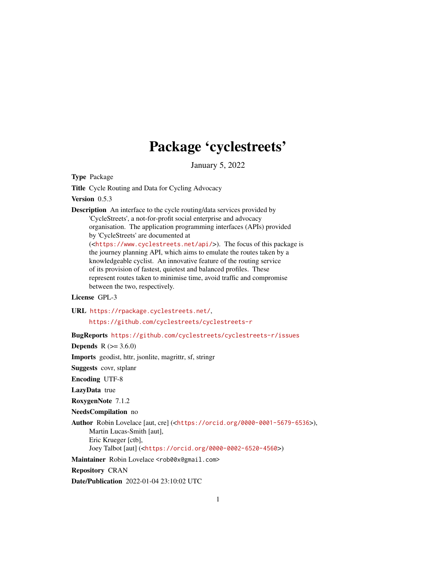# Package 'cyclestreets'

January 5, 2022

Type Package

Title Cycle Routing and Data for Cycling Advocacy

Version 0.5.3

Description An interface to the cycle routing/data services provided by 'CycleStreets', a not-for-profit social enterprise and advocacy organisation. The application programming interfaces (APIs) provided by 'CycleStreets' are documented at (<<https://www.cyclestreets.net/api/>>). The focus of this package is

the journey planning API, which aims to emulate the routes taken by a knowledgeable cyclist. An innovative feature of the routing service of its provision of fastest, quietest and balanced profiles. These represent routes taken to minimise time, avoid traffic and compromise between the two, respectively.

#### License GPL-3

URL <https://rpackage.cyclestreets.net/>,

<https://github.com/cyclestreets/cyclestreets-r>

BugReports <https://github.com/cyclestreets/cyclestreets-r/issues>

**Depends** R  $(>= 3.6.0)$ 

Imports geodist, httr, jsonlite, magrittr, sf, stringr

Suggests covr, stplanr

Encoding UTF-8

LazyData true

RoxygenNote 7.1.2

NeedsCompilation no

Author Robin Lovelace [aut, cre] (<<https://orcid.org/0000-0001-5679-6536>>), Martin Lucas-Smith [aut], Eric Krueger [ctb], Joey Talbot [aut] (<<https://orcid.org/0000-0002-6520-4560>>)

Maintainer Robin Lovelace <rob00x@gmail.com>

Repository CRAN

Date/Publication 2022-01-04 23:10:02 UTC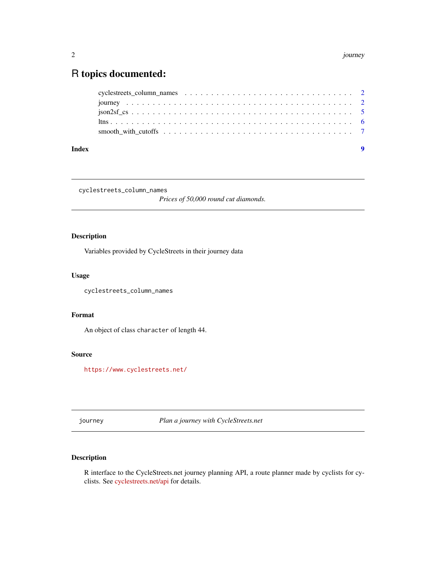## <span id="page-1-0"></span>R topics documented:

| Index |  |
|-------|--|
|       |  |
|       |  |
|       |  |
|       |  |
|       |  |

cyclestreets\_column\_names

*Prices of 50,000 round cut diamonds.*

#### Description

Variables provided by CycleStreets in their journey data

#### Usage

cyclestreets\_column\_names

#### Format

An object of class character of length 44.

#### Source

<https://www.cyclestreets.net/>

journey *Plan a journey with CycleStreets.net*

### Description

R interface to the CycleStreets.net journey planning API, a route planner made by cyclists for cyclists. See [cyclestreets.net/api](https://www.cyclestreets.net/api/) for details.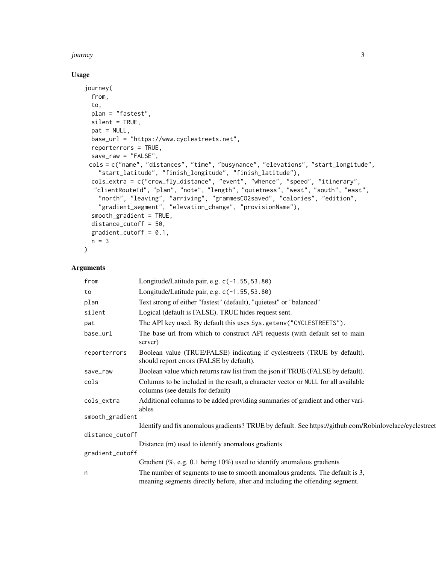#### journey 3

#### Usage

```
journey(
 from,
  to,
 plan = "fastest",
 silent = TRUE,
 pat = NULL,base_url = "https://www.cyclestreets.net",
  reporterrors = TRUE,
 save_raw = "FALSE",
 cols = c("name", "distances", "time", "busynance", "elevations", "start_longitude",
    "start_latitude", "finish_longitude", "finish_latitude"),
 cols_extra = c("crow_fly_distance", "event", "whence", "speed", "itinerary",
  "clientRouteId", "plan", "note", "length", "quietness", "west", "south", "east",
    "north", "leaving", "arriving", "grammesCO2saved", "calories", "edition",
    "gradient_segment", "elevation_change", "provisionName"),
  smooth_gradient = TRUE,
 distance_cutoff = 50,
 gradient_cutoff = 0.1,
 n = 3\mathcal{L}
```
#### Arguments

| from            | Longitude/Latitude pair, e.g. c(-1.55, 53.80)                                                                                                                 |
|-----------------|---------------------------------------------------------------------------------------------------------------------------------------------------------------|
| to              | Longitude/Latitude pair, e.g. c(-1.55, 53.80)                                                                                                                 |
| plan            | Text strong of either "fastest" (default), "quietest" or "balanced"                                                                                           |
| silent          | Logical (default is FALSE). TRUE hides request sent.                                                                                                          |
| pat             | The API key used. By default this uses Sys.getenv("CYCLESTREETS").                                                                                            |
| base_url        | The base url from which to construct API requests (with default set to main<br>server)                                                                        |
| reporterrors    | Boolean value (TRUE/FALSE) indicating if cyclestreets (TRUE by default).<br>should report errors (FALSE by default).                                          |
| save_raw        | Boolean value which returns raw list from the json if TRUE (FALSE by default).                                                                                |
| cols            | Columns to be included in the result, a character vector or NULL for all available<br>columns (see details for default)                                       |
| cols_extra      | Additional columns to be added providing summaries of gradient and other vari-<br>ables                                                                       |
| smooth_gradient |                                                                                                                                                               |
|                 | Identify and fix anomalous gradients? TRUE by default. See https://github.com/Robinlovelace/cyclestreet                                                       |
| distance_cutoff |                                                                                                                                                               |
|                 | Distance (m) used to identify anomalous gradients                                                                                                             |
| gradient_cutoff |                                                                                                                                                               |
|                 | Gradient (%, e.g. 0.1 being $10\%$ ) used to identify anomalous gradients                                                                                     |
| n               | The number of segments to use to smooth anomalous gradents. The default is 3,<br>meaning segments directly before, after and including the offending segment. |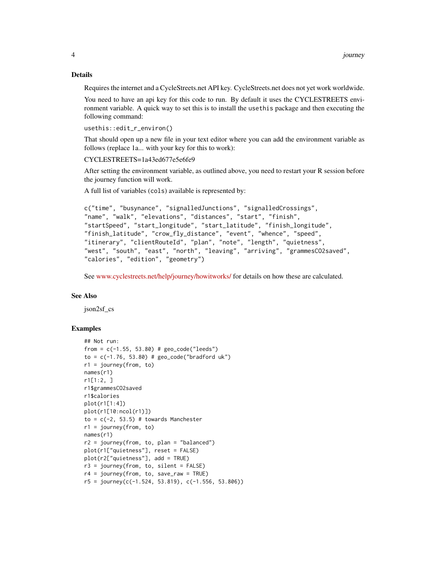#### Details

Requires the internet and a CycleStreets.net API key. CycleStreets.net does not yet work worldwide.

You need to have an api key for this code to run. By default it uses the CYCLESTREETS environment variable. A quick way to set this is to install the usethis package and then executing the following command:

```
usethis::edit_r_environ()
```
That should open up a new file in your text editor where you can add the environment variable as follows (replace 1a... with your key for this to work):

CYCLESTREETS=1a43ed677e5e6fe9

After setting the environment variable, as outlined above, you need to restart your R session before the journey function will work.

A full list of variables (cols) available is represented by:

```
c("time", "busynance", "signalledJunctions", "signalledCrossings",
"name", "walk", "elevations", "distances", "start", "finish",
"startSpeed", "start_longitude", "start_latitude", "finish_longitude",
"finish_latitude", "crow_fly_distance", "event", "whence", "speed",
"itinerary", "clientRouteId", "plan", "note", "length", "quietness",
"west", "south", "east", "north", "leaving", "arriving", "grammesCO2saved",
"calories", "edition", "geometry")
```
See [www.cyclestreets.net/help/journey/howitworks/](https://www.cyclestreets.net/help/journey/howitworks/) for details on how these are calculated.

#### See Also

json2sf\_cs

#### Examples

```
## Not run:
from = c(-1.55, 53.80) # geo\_code("leads")to = c(-1.76, 53.80) # geo_code("bradford uk")
r1 = journey(from, to)
names(r1)
r1[1:2, ]
r1$grammesCO2saved
r1$calories
plot(r1[1:4])
plot(r1[10:ncol(r1)])
to = c(-2, 53.5) # towards Manchester
r1 = journey(from, to)names(r1)
r2 = journey(from, to, plan = "balanced")plot(r1["quietness"], reset = FALSE)
plot(r2["quietness"], add = TRUE)
r3 = journey(from, to, silent = FALSE)
r4 = journey(from, to, save_{raw} = TRUE)r5 = \text{journey}(c(-1.524, 53.819), c(-1.556, 53.806))
```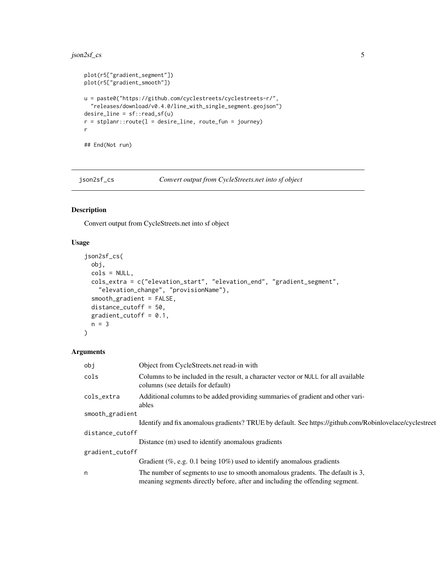#### <span id="page-4-0"></span>json2sf\_cs 5

```
plot(r5["gradient_segment"])
plot(r5["gradient_smooth"])
u = paste0("https://github.com/cyclestreets/cyclestreets-r/",
  "releases/download/v0.4.0/line_with_single_segment.geojson")
desire_line = sf::read_sf(u)
r = stplanr::route(1 = desire\_line, route\_fun = journey)r
## End(Not run)
```
json2sf\_cs *Convert output from CycleStreets.net into sf object*

#### Description

Convert output from CycleStreets.net into sf object

#### Usage

```
json2sf_cs(
 obj,
 cols = NULL,
 cols_extra = c("elevation_start", "elevation_end", "gradient_segment",
    "elevation_change", "provisionName"),
  smooth_gradient = FALSE,
 distance_cutoff = 50,
 gradient_cutoff = 0.1,
 n = 3)
```
#### Arguments

| obj             | Object from CycleStreets.net read-in with                                                                                                                     |  |
|-----------------|---------------------------------------------------------------------------------------------------------------------------------------------------------------|--|
| cols            | Columns to be included in the result, a character vector or NULL for all available<br>columns (see details for default)                                       |  |
| cols_extra      | Additional columns to be added providing summaries of gradient and other vari-<br>ables                                                                       |  |
| smooth_gradient |                                                                                                                                                               |  |
|                 | Identify and fix anomalous gradients? TRUE by default. See https://github.com/Robinlovelace/cyclestreet                                                       |  |
| distance_cutoff |                                                                                                                                                               |  |
|                 | Distance (m) used to identify anomalous gradients                                                                                                             |  |
| gradient_cutoff |                                                                                                                                                               |  |
|                 | Gradient $(\%$ , e.g. 0.1 being 10%) used to identify anomalous gradients                                                                                     |  |
| n               | The number of segments to use to smooth anomalous gradents. The default is 3,<br>meaning segments directly before, after and including the offending segment. |  |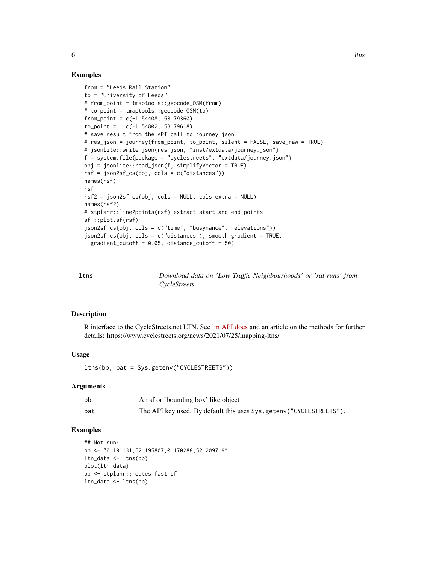#### Examples

```
from = "Leeds Rail Station"
to = "University of Leeds"
# from_point = tmaptools::geocode_OSM(from)
# to_point = tmaptools::geocode_OSM(to)
from_point = c(-1.54408, 53.79360)to_point = c(-1.54802, 53.79618)
# save result from the API call to journey.json
# res_json = journey(from_point, to_point, silent = FALSE, save_raw = TRUE)
# jsonlite::write_json(res_json, "inst/extdata/journey.json")
f = system.file(package = "cyclestreets", "extdata/journey.json")
obj = jsonlite::read_json(f, simplifyVector = TRUE)
rsf = json2sf_cs(obj, cols = c("distances"))
names(rsf)
rsf
rsf2 = json2sf_csc(obj, coils = NULL, cols_extra = NULL)names(rsf2)
# stplanr::line2points(rsf) extract start and end points
sf:::plot.sf(rsf)
json2sf_cs(obj, cols = c("time", "busynance", "elevations"))
json2sf_cs(obj, cols = c("distances"), smooth_gradient = TRUE,
  gradient_cutoff = 0.05, distance_cutoff = 50)
```

| ltns | Download data on 'Low Traffic Neighbourhoods' or 'rat runs' from |  |
|------|------------------------------------------------------------------|--|
|      | CycleStreets                                                     |  |

#### Description

R interface to the CycleStreets.net LTN. See [ltn API docs](https://www.cyclestreets.net/api/v2/advocacydata.ltns/) and an article on the methods for further details: https://www.cyclestreets.org/news/2021/07/25/mapping-ltns/

#### Usage

```
ltns(bb, pat = Sys.getenv("CYCLESTREETS"))
```
#### Arguments

| bb  | An sf or 'bounding box' like object                                |
|-----|--------------------------------------------------------------------|
| pat | The API key used. By default this uses Sys.getenv("CYCLESTREETS"). |

#### Examples

```
## Not run:
bb <- "0.101131,52.195807,0.170288,52.209719"
ltn_data <- ltns(bb)
plot(ltn_data)
bb <- stplanr::routes_fast_sf
ltn_data <- ltns(bb)
```
 $\epsilon$  6 ltns

<span id="page-5-0"></span>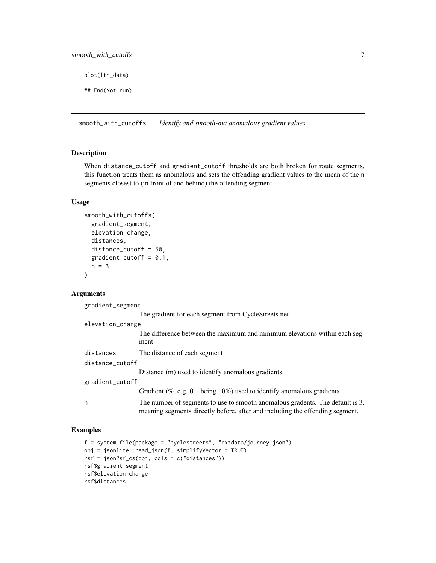<span id="page-6-0"></span>plot(ltn\_data)

## End(Not run)

smooth\_with\_cutoffs *Identify and smooth-out anomalous gradient values*

#### Description

When distance\_cutoff and gradient\_cutoff thresholds are both broken for route segments, this function treats them as anomalous and sets the offending gradient values to the mean of the n segments closest to (in front of and behind) the offending segment.

#### Usage

```
smooth_with_cutoffs(
 gradient_segment,
 elevation_change,
 distances,
 distance_cutoff = 50,
 gradient_cutoff = 0.1,
 n = 3)
```
#### Arguments

gradient\_segment

|                  | The gradient for each segment from CycleStreets.net                                                                                                           |
|------------------|---------------------------------------------------------------------------------------------------------------------------------------------------------------|
| elevation_change |                                                                                                                                                               |
|                  | The difference between the maximum and minimum elevations within each seg-<br>ment                                                                            |
| distances        | The distance of each segment                                                                                                                                  |
| distance_cutoff  |                                                                                                                                                               |
|                  | Distance (m) used to identify anomalous gradients                                                                                                             |
| gradient_cutoff  |                                                                                                                                                               |
|                  | Gradient (%, e.g. 0.1 being $10\%$ ) used to identify anomalous gradients                                                                                     |
| n                | The number of segments to use to smooth anomalous gradents. The default is 3,<br>meaning segments directly before, after and including the offending segment. |

#### Examples

```
f = system.file(package = "cyclestreets", "extdata/journey.json")
obj = jsonlite::read_json(f, simplifyVector = TRUE)
rsf = json2sf_cs(obj, cols = c("distances"))
rsf$gradient_segment
rsf$elevation_change
rsf$distances
```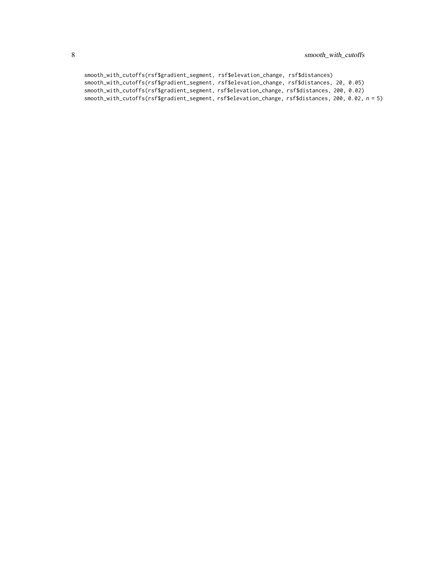```
smooth_with_cutoffs(rsf$gradient_segment, rsf$elevation_change, rsf$distances)
smooth_with_cutoffs(rsf$gradient_segment, rsf$elevation_change, rsf$distances, 20, 0.05)
smooth_with_cutoffs(rsf$gradient_segment, rsf$elevation_change, rsf$distances, 200, 0.02)
smooth_with_cutoffs(rsf$gradient_segment, rsf$elevation_change, rsf$distances, 200, 0.02, n = 5)
```